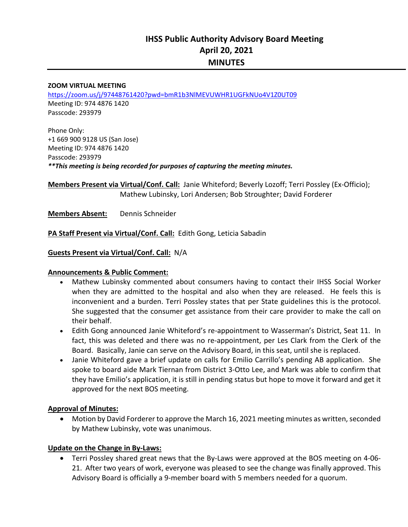# **IHSS Public Authority Advisory Board Meeting April 20, 2021 MINUTES**

#### **ZOOM VIRTUAL MEETING**

https://zoom.us/j/97448761420?pwd=bmR1b3NlMEVUWHR1UGFkNUo4V1Z0UT09 Meeting ID: 974 4876 1420 Passcode: 293979

Phone Only: +1 669 900 9128 US (San Jose) Meeting ID: 974 4876 1420 Passcode: 293979 *\*\*This meeting is being recorded for purposes of capturing the meeting minutes.* 

**Members Present via Virtual/Conf. Call:** Janie Whiteford; Beverly Lozoff; Terri Possley (Ex‐Officio); Mathew Lubinsky, Lori Andersen; Bob Stroughter; David Forderer

**Members Absent:**  Dennis Schneider

#### **PA Staff Present via Virtual/Conf. Call:** Edith Gong, Leticia Sabadin

#### **Guests Present via Virtual/Conf. Call:** N/A

#### **Announcements & Public Comment:**

- Mathew Lubinsky commented about consumers having to contact their IHSS Social Worker when they are admitted to the hospital and also when they are released. He feels this is inconvenient and a burden. Terri Possley states that per State guidelines this is the protocol. She suggested that the consumer get assistance from their care provider to make the call on their behalf.
- Edith Gong announced Janie Whiteford's re‐appointment to Wasserman's District, Seat 11. In fact, this was deleted and there was no re-appointment, per Les Clark from the Clerk of the Board. Basically, Janie can serve on the Advisory Board, in this seat, until she is replaced.
- Janie Whiteford gave a brief update on calls for Emilio Carrillo's pending AB application. She spoke to board aide Mark Tiernan from District 3‐Otto Lee, and Mark was able to confirm that they have Emilio's application, it is still in pending status but hope to move it forward and get it approved for the next BOS meeting.

#### **Approval of Minutes:**

 Motion by David Forderer to approve the March 16, 2021 meeting minutes as written, seconded by Mathew Lubinsky, vote was unanimous.

#### **Update on the Change in By‐Laws:**

■ Terri Possley shared great news that the By-Laws were approved at the BOS meeting on 4-06-21. After two years of work, everyone was pleased to see the change was finally approved. This Advisory Board is officially a 9‐member board with 5 members needed for a quorum.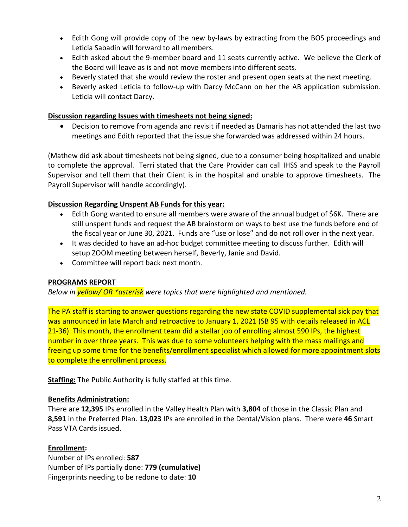- Edith Gong will provide copy of the new by-laws by extracting from the BOS proceedings and Leticia Sabadin will forward to all members.
- Edith asked about the 9-member board and 11 seats currently active. We believe the Clerk of the Board will leave as is and not move members into different seats.
- Beverly stated that she would review the roster and present open seats at the next meeting.
- Beverly asked Leticia to follow‐up with Darcy McCann on her the AB application submission. Leticia will contact Darcy.

#### **Discussion regarding Issues with timesheets not being signed:**

 Decision to remove from agenda and revisit if needed as Damaris has not attended the last two meetings and Edith reported that the issue she forwarded was addressed within 24 hours.

(Mathew did ask about timesheets not being signed, due to a consumer being hospitalized and unable to complete the approval. Terri stated that the Care Provider can call IHSS and speak to the Payroll Supervisor and tell them that their Client is in the hospital and unable to approve timesheets. The Payroll Supervisor will handle accordingly).

#### **Discussion Regarding Unspent AB Funds for this year:**

- Edith Gong wanted to ensure all members were aware of the annual budget of \$6K. There are still unspent funds and request the AB brainstorm on ways to best use the funds before end of the fiscal year or June 30, 2021. Funds are "use or lose" and do not roll over in the next year.
- It was decided to have an ad-hoc budget committee meeting to discuss further. Edith will setup ZOOM meeting between herself, Beverly, Janie and David.
- Committee will report back next month.

### **PROGRAMS REPORT**

*Below in yellow/ OR \*asterisk were topics that were highlighted and mentioned.* 

The PA staff is starting to answer questions regarding the new state COVID supplemental sick pay that was announced in late March and retroactive to January 1, 2021 (SB 95 with details released in ACL 21-36). This month, the enrollment team did a stellar job of enrolling almost 590 IPs, the highest number in over three years. This was due to some volunteers helping with the mass mailings and freeing up some time for the benefits/enrollment specialist which allowed for more appointment slots to complete the enrollment process.

**Staffing:** The Public Authority is fully staffed at this time.

#### **Benefits Administration:**

There are **12,395** IPs enrolled in the Valley Health Plan with **3,804** of those in the Classic Plan and **8,591** in the Preferred Plan. **13,023** IPs are enrolled in the Dental/Vision plans. There were **46** Smart Pass VTA Cards issued.

#### **Enrollment:**

Number of IPs enrolled: **587**  Number of IPs partially done: **779 (cumulative)** Fingerprints needing to be redone to date: **10**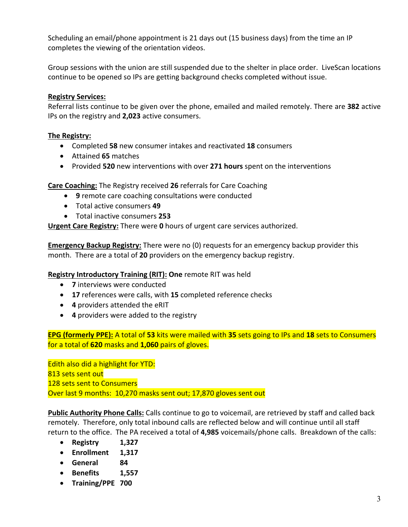Scheduling an email/phone appointment is 21 days out (15 business days) from the time an IP completes the viewing of the orientation videos.

Group sessions with the union are still suspended due to the shelter in place order. LiveScan locations continue to be opened so IPs are getting background checks completed without issue.

## **Registry Services:**

Referral lists continue to be given over the phone, emailed and mailed remotely. There are **382** active IPs on the registry and **2,023** active consumers.

### **The Registry:**

- Completed **58** new consumer intakes and reactivated **18** consumers
- Attained **65** matches
- Provided **520** new interventions with over **271 hours** spent on the interventions

**Care Coaching:** The Registry received **26** referrals for Care Coaching

- **9** remote care coaching consultations were conducted
- Total active consumers **49**
- Total inactive consumers **253**

**Urgent Care Registry:** There were **0** hours of urgent care services authorized.

**Emergency Backup Registry:** There were no (0) requests for an emergency backup provider this month. There are a total of **20** providers on the emergency backup registry.

### **Registry Introductory Training (RIT): One** remote RIT was held

- **7** interviews were conducted
- **17** references were calls, with **15** completed reference checks
- **4** providers attended the eRIT
- **4** providers were added to the registry

**EPG (formerly PPE):** A total of **53** kits were mailed with **35** sets going to IPs and **18** sets to Consumers for a total of **620** masks and **1,060** pairs of gloves.

Edith also did a highlight for YTD: 813 sets sent out 128 sets sent to Consumers Over last 9 months: 10,270 masks sent out; 17,870 gloves sent out

**Public Authority Phone Calls:** Calls continue to go to voicemail, are retrieved by staff and called back remotely. Therefore, only total inbound calls are reflected below and will continue until all staff return to the office. The PA received a total of **4,985** voicemails/phone calls. Breakdown of the calls:

- **Registry 1,327**
- **Enrollment 1,317**
- **General 84**
- **Benefits 1,557**
- **Training/PPE 700**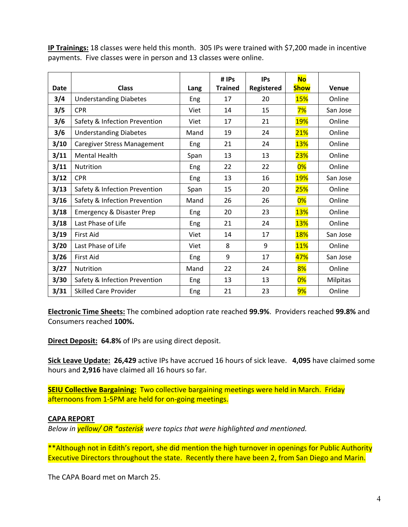|             |                                      |      | # IPs          | <b>IPs</b> | <b>No</b>   |          |
|-------------|--------------------------------------|------|----------------|------------|-------------|----------|
| <b>Date</b> | <b>Class</b>                         | Lang | <b>Trained</b> | Registered | <b>Show</b> | Venue    |
| 3/4         | <b>Understanding Diabetes</b>        | Eng  | 17             | 20         | <b>15%</b>  | Online   |
| 3/5         | <b>CPR</b>                           | Viet | 14             | 15         | 7%          | San Jose |
| 3/6         | Safety & Infection Prevention        | Viet | 17             | 21         | <b>19%</b>  | Online   |
| 3/6         | <b>Understanding Diabetes</b>        | Mand | 19             | 24         | 21%         | Online   |
| 3/10        | <b>Caregiver Stress Management</b>   | Eng  | 21             | 24         | <b>13%</b>  | Online   |
| 3/11        | <b>Mental Health</b>                 | Span | 13             | 13         | 23%         | Online   |
| 3/11        | Nutrition                            | Eng  | 22             | 22         | 0%          | Online   |
| 3/12        | <b>CPR</b>                           | Eng  | 13             | 16         | <b>19%</b>  | San Jose |
| 3/13        | Safety & Infection Prevention        | Span | 15             | 20         | 25%         | Online   |
| 3/16        | Safety & Infection Prevention        | Mand | 26             | 26         | 0%          | Online   |
| 3/18        | <b>Emergency &amp; Disaster Prep</b> | Eng  | 20             | 23         | <b>13%</b>  | Online   |
| 3/18        | Last Phase of Life                   | Eng  | 21             | 24         | <b>13%</b>  | Online   |
| 3/19        | <b>First Aid</b>                     | Viet | 14             | 17         | <b>18%</b>  | San Jose |
| 3/20        | Last Phase of Life                   | Viet | 8              | 9          | <b>11%</b>  | Online   |
| 3/26        | <b>First Aid</b>                     | Eng  | 9              | 17         | 47%         | San Jose |
| 3/27        | Nutrition                            | Mand | 22             | 24         | 8%          | Online   |
| 3/30        | Safety & Infection Prevention        | Eng  | 13             | 13         | 0%          | Milpitas |
| 3/31        | <b>Skilled Care Provider</b>         | Eng  | 21             | 23         | 9%          | Online   |

**IP Trainings:** 18 classes were held this month. 305 IPs were trained with \$7,200 made in incentive payments. Five classes were in person and 13 classes were online.

**Electronic Time Sheets:** The combined adoption rate reached **99.9%**. Providers reached **99.8%** and Consumers reached **100%.**

**Direct Deposit: 64.8%** of IPs are using direct deposit.

**Sick Leave Update: 26,429** active IPs have accrued 16 hours of sick leave. **4,095** have claimed some hours and **2,916** have claimed all 16 hours so far.

**SEIU Collective Bargaining:** Two collective bargaining meetings were held in March. Friday afternoons from 1‐5PM are held for on‐going meetings.

### **CAPA REPORT**

*Below in yellow/ OR \*asterisk were topics that were highlighted and mentioned.* 

\*\*Although not in Edith's report, she did mention the high turnover in openings for Public Authority Executive Directors throughout the state. Recently there have been 2, from San Diego and Marin.

The CAPA Board met on March 25.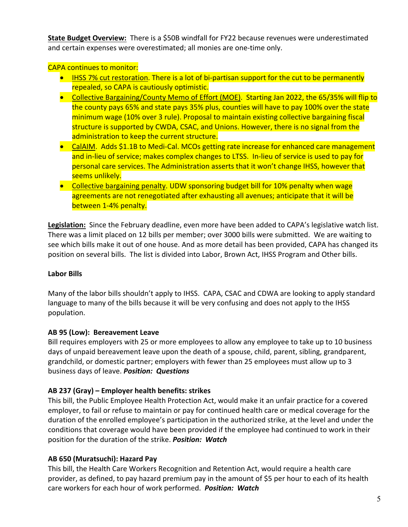**State Budget Overview:** There is a \$50B windfall for FY22 because revenues were underestimated and certain expenses were overestimated; all monies are one-time only.

CAPA continues to monitor:

- IHSS 7% cut restoration. There is a lot of bi-partisan support for the cut to be permanently repealed, so CAPA is cautiously optimistic.
- Collective Bargaining/County Memo of Effort (MOE). Starting Jan 2022, the 65/35% will flip to the county pays 65% and state pays 35% plus, counties will have to pay 100% over the state minimum wage (10% over 3 rule). Proposal to maintain existing collective bargaining fiscal structure is supported by CWDA, CSAC, and Unions. However, there is no signal from the administration to keep the current structure.
- CalAIM. Adds \$1.1B to Medi-Cal. MCOs getting rate increase for enhanced care management and in-lieu of service; makes complex changes to LTSS. In-lieu of service is used to pay for personal care services. The Administration asserts that it won't change IHSS, however that seems unlikely.
- Collective bargaining penalty. UDW sponsoring budget bill for 10% penalty when wage agreements are not renegotiated after exhausting all avenues; anticipate that it will be between 1‐4% penalty.

**Legislation:** Since the February deadline, even more have been added to CAPA's legislative watch list. There was a limit placed on 12 bills per member; over 3000 bills were submitted. We are waiting to see which bills make it out of one house. And as more detail has been provided, CAPA has changed its position on several bills. The list is divided into Labor, Brown Act, IHSS Program and Other bills.

# **Labor Bills**

Many of the labor bills shouldn't apply to IHSS. CAPA, CSAC and CDWA are looking to apply standard language to many of the bills because it will be very confusing and does not apply to the IHSS population.

# **AB 95 (Low): Bereavement Leave**

Bill requires employers with 25 or more employees to allow any employee to take up to 10 business days of unpaid bereavement leave upon the death of a spouse, child, parent, sibling, grandparent, grandchild, or domestic partner; employers with fewer than 25 employees must allow up to 3 business days of leave. *Position: Questions*

# **AB 237 (Gray) – Employer health benefits: strikes**

This bill, the Public Employee Health Protection Act, would make it an unfair practice for a covered employer, to fail or refuse to maintain or pay for continued health care or medical coverage for the duration of the enrolled employee's participation in the authorized strike, at the level and under the conditions that coverage would have been provided if the employee had continued to work in their position for the duration of the strike. *Position: Watch* 

# **AB 650 (Muratsuchi): Hazard Pay**

This bill, the Health Care Workers Recognition and Retention Act, would require a health care provider, as defined, to pay hazard premium pay in the amount of \$5 per hour to each of its health care workers for each hour of work performed.  *Position: Watch*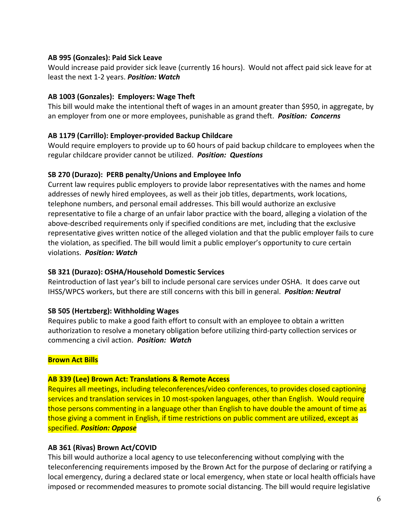### **AB 995 (Gonzales): Paid Sick Leave**

Would increase paid provider sick leave (currently 16 hours). Would not affect paid sick leave for at least the next 1‐2 years. *Position: Watch* 

### **AB 1003 (Gonzales): Employers: Wage Theft**

This bill would make the intentional theft of wages in an amount greater than \$950, in aggregate, by an employer from one or more employees, punishable as grand theft. *Position: Concerns* 

# **AB 1179 (Carrillo): Employer‐provided Backup Childcare**

Would require employers to provide up to 60 hours of paid backup childcare to employees when the regular childcare provider cannot be utilized. *Position: Questions* 

### **SB 270 (Durazo): PERB penalty/Unions and Employee Info**

Current law requires public employers to provide labor representatives with the names and home addresses of newly hired employees, as well as their job titles, departments, work locations, telephone numbers, and personal email addresses. This bill would authorize an exclusive representative to file a charge of an unfair labor practice with the board, alleging a violation of the above‐described requirements only if specified conditions are met, including that the exclusive representative gives written notice of the alleged violation and that the public employer fails to cure the violation, as specified. The bill would limit a public employer's opportunity to cure certain violations.  *Position: Watch* 

# **SB 321 (Durazo): OSHA/Household Domestic Services**

Reintroduction of last year's bill to include personal care services under OSHA. It does carve out IHSS/WPCS workers, but there are still concerns with this bill in general.*Position: Neutral* 

### **SB 505 (Hertzberg): Withholding Wages**

Requires public to make a good faith effort to consult with an employee to obtain a written authorization to resolve a monetary obligation before utilizing third‐party collection services or commencing a civil action. *Position: Watch* 

# **Brown Act Bills**

### **AB 339 (Lee) Brown Act: Translations & Remote Access**

Requires all meetings, including teleconferences/video conferences, to provides closed captioning services and translation services in 10 most-spoken languages, other than English. Would require those persons commenting in a language other than English to have double the amount of time as those giving a comment in English, if time restrictions on public comment are utilized, except as specified. *Position: Oppose*

# **AB 361 (Rivas) Brown Act/COVID**

This bill would authorize a local agency to use teleconferencing without complying with the teleconferencing requirements imposed by the Brown Act for the purpose of declaring or ratifying a local emergency, during a declared state or local emergency, when state or local health officials have imposed or recommended measures to promote social distancing. The bill would require legislative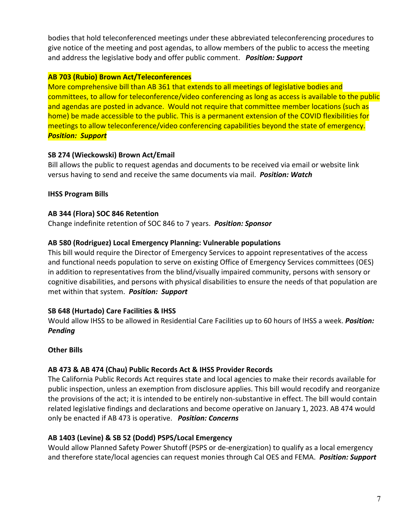bodies that hold teleconferenced meetings under these abbreviated teleconferencing procedures to give notice of the meeting and post agendas, to allow members of the public to access the meeting and address the legislative body and offer public comment. *Position: Support* 

### **AB 703 (Rubio) Brown Act/Teleconferences**

More comprehensive bill than AB 361 that extends to all meetings of legislative bodies and committees, to allow for teleconference/video conferencing as long as access is available to the public and agendas are posted in advance. Would not require that committee member locations (such as home) be made accessible to the public. This is a permanent extension of the COVID flexibilities for meetings to allow teleconference/video conferencing capabilities beyond the state of emergency. *Position: Support*

# **SB 274 (Wieckowski) Brown Act/Email**

Bill allows the public to request agendas and documents to be received via email or website link versus having to send and receive the same documents via mail. *Position: Watch* 

# **IHSS Program Bills**

## **AB 344 (Flora) SOC 846 Retention**

Change indefinite retention of SOC 846 to 7 years. *Position: Sponsor* 

## **AB 580 (Rodriguez) Local Emergency Planning: Vulnerable populations**

This bill would require the Director of Emergency Services to appoint representatives of the access and functional needs population to serve on existing Office of Emergency Services committees (OES) in addition to representatives from the blind/visually impaired community, persons with sensory or cognitive disabilities, and persons with physical disabilities to ensure the needs of that population are met within that system.  *Position: Support* 

# **SB 648 (Hurtado) Care Facilities & IHSS**

Would allow IHSS to be allowed in Residential Care Facilities up to 60 hours of IHSS a week. *Position: Pending*

# **Other Bills**

# **AB 473 & AB 474 (Chau) Public Records Act & IHSS Provider Records**

The California Public Records Act requires state and local agencies to make their records available for public inspection, unless an exemption from disclosure applies. This bill would recodify and reorganize the provisions of the act; it is intended to be entirely non‐substantive in effect. The bill would contain related legislative findings and declarations and become operative on January 1, 2023. AB 474 would only be enacted if AB 473 is operative. *Position: Concerns* 

# **AB 1403 (Levine) & SB 52 (Dodd) PSPS/Local Emergency**

Would allow Planned Safety Power Shutoff (PSPS or de‐energization) to qualify as a local emergency and therefore state/local agencies can request monies through Cal OES and FEMA. *Position: Support*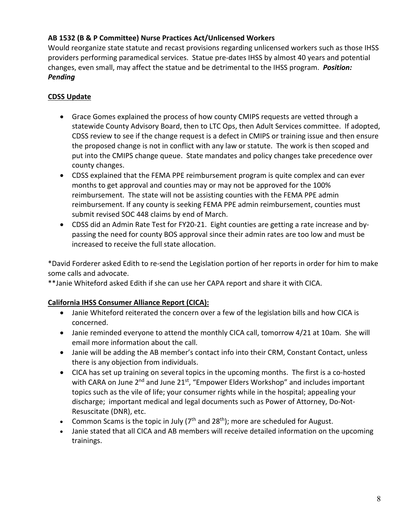# **AB 1532 (B & P Committee) Nurse Practices Act/Unlicensed Workers**

Would reorganize state statute and recast provisions regarding unlicensed workers such as those IHSS providers performing paramedical services. Statue pre‐dates IHSS by almost 40 years and potential changes, even small, may affect the statue and be detrimental to the IHSS program. *Position: Pending* 

# **CDSS Update**

- Grace Gomes explained the process of how county CMIPS requests are vetted through a statewide County Advisory Board, then to LTC Ops, then Adult Services committee. If adopted, CDSS review to see if the change request is a defect in CMIPS or training issue and then ensure the proposed change is not in conflict with any law or statute. The work is then scoped and put into the CMIPS change queue. State mandates and policy changes take precedence over county changes.
- CDSS explained that the FEMA PPE reimbursement program is quite complex and can ever months to get approval and counties may or may not be approved for the 100% reimbursement. The state will not be assisting counties with the FEMA PPE admin reimbursement. If any county is seeking FEMA PPE admin reimbursement, counties must submit revised SOC 448 claims by end of March.
- CDSS did an Admin Rate Test for FY20-21. Eight counties are getting a rate increase and bypassing the need for county BOS approval since their admin rates are too low and must be increased to receive the full state allocation.

\*David Forderer asked Edith to re‐send the Legislation portion of her reports in order for him to make some calls and advocate.

\*\*Janie Whiteford asked Edith if she can use her CAPA report and share it with CICA.

# **California IHSS Consumer Alliance Report (CICA):**

- Janie Whiteford reiterated the concern over a few of the legislation bills and how CICA is concerned.
- Janie reminded everyone to attend the monthly CICA call, tomorrow 4/21 at 10am. She will email more information about the call.
- Janie will be adding the AB member's contact info into their CRM, Constant Contact, unless there is any objection from individuals.
- CICA has set up training on several topics in the upcoming months. The first is a co-hosted with CARA on June 2<sup>nd</sup> and June 21<sup>st</sup>, "Empower Elders Workshop" and includes important topics such as the vile of life; your consumer rights while in the hospital; appealing your discharge; important medical and legal documents such as Power of Attorney, Do‐Not‐ Resuscitate (DNR), etc.
- Common Scams is the topic in July ( $7<sup>th</sup>$  and 28<sup>th</sup>); more are scheduled for August.
- Janie stated that all CICA and AB members will receive detailed information on the upcoming trainings.